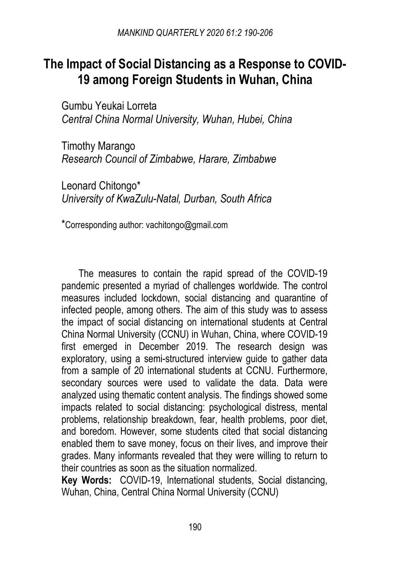# **The Impact of Social Distancing as a Response to COVID-19 among Foreign Students in Wuhan, China**

Gumbu Yeukai Lorreta *Central China Normal University, Wuhan, Hubei, China*

Timothy Marango *Research Council of Zimbabwe, Harare, Zimbabwe*

Leonard Chitongo\* *University of KwaZulu-Natal, Durban, South Africa*

\*Corresponding author: vachitongo@gmail.com

The measures to contain the rapid spread of the COVID-19 pandemic presented a myriad of challenges worldwide. The control measures included lockdown, social distancing and quarantine of infected people, among others. The aim of this study was to assess the impact of social distancing on international students at Central China Normal University (CCNU) in Wuhan, China, where COVID-19 first emerged in December 2019. The research design was exploratory, using a semi-structured interview guide to gather data from a sample of 20 international students at CCNU. Furthermore, secondary sources were used to validate the data. Data were analyzed using thematic content analysis. The findings showed some impacts related to social distancing: psychological distress, mental problems, relationship breakdown, fear, health problems, poor diet, and boredom. However, some students cited that social distancing enabled them to save money, focus on their lives, and improve their grades. Many informants revealed that they were willing to return to their countries as soon as the situation normalized.

**Key Words:** COVID-19, International students, Social distancing, Wuhan, China, Central China Normal University (CCNU)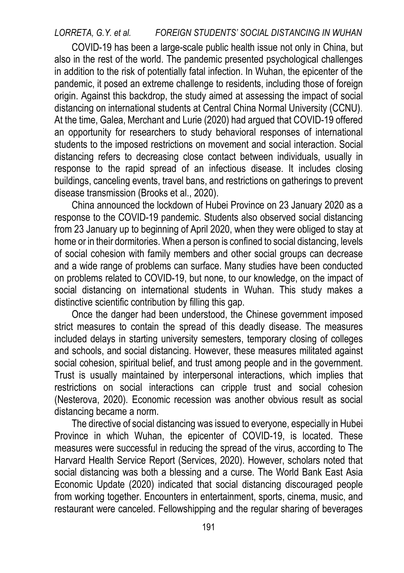*LORRETA, G.Y. et al. FOREIGN STUDENTS' SOCIAL DISTANCING IN WUHAN* 

COVID-19 has been a large-scale public health issue not only in China, but also in the rest of the world. The pandemic presented psychological challenges in addition to the risk of potentially fatal infection. In Wuhan, the epicenter of the pandemic, it posed an extreme challenge to residents, including those of foreign origin. Against this backdrop, the study aimed at assessing the impact of social distancing on international students at Central China Normal University (CCNU). At the time, Galea, Merchant and Lurie (2020) had argued that COVID-19 offered an opportunity for researchers to study behavioral responses of international students to the imposed restrictions on movement and social interaction. Social distancing refers to decreasing close contact between individuals, usually in response to the rapid spread of an infectious disease. It includes closing buildings, canceling events, travel bans, and restrictions on gatherings to prevent disease transmission (Brooks et al., 2020).

China announced the lockdown of Hubei Province on 23 January 2020 as a response to the COVID-19 pandemic. Students also observed social distancing from 23 January up to beginning of April 2020, when they were obliged to stay at home or in their dormitories. When a person is confined to social distancing, levels of social cohesion with family members and other social groups can decrease and a wide range of problems can surface. Many studies have been conducted on problems related to COVID-19, but none, to our knowledge, on the impact of social distancing on international students in Wuhan. This study makes a distinctive scientific contribution by filling this gap.

Once the danger had been understood, the Chinese government imposed strict measures to contain the spread of this deadly disease. The measures included delays in starting university semesters, temporary closing of colleges and schools, and social distancing. However, these measures militated against social cohesion, spiritual belief, and trust among people and in the government. Trust is usually maintained by interpersonal interactions, which implies that restrictions on social interactions can cripple trust and social cohesion (Nesterova, 2020). Economic recession was another obvious result as social distancing became a norm.

The directive of social distancing was issued to everyone, especially in Hubei Province in which Wuhan, the epicenter of COVID-19, is located. These measures were successful in reducing the spread of the virus, according to The Harvard Health Service Report (Services, 2020). However, scholars noted that social distancing was both a blessing and a curse. The World Bank East Asia Economic Update (2020) indicated that social distancing discouraged people from working together. Encounters in entertainment, sports, cinema, music, and restaurant were canceled. Fellowshipping and the regular sharing of beverages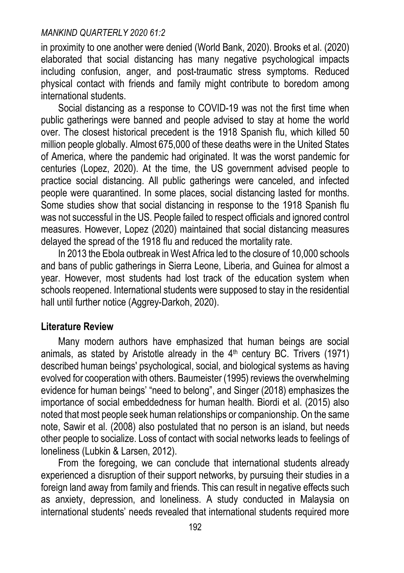in proximity to one another were denied (World Bank, 2020). Brooks et al. (2020) elaborated that social distancing has many negative psychological impacts including confusion, anger, and post-traumatic stress symptoms. Reduced physical contact with friends and family might contribute to boredom among international students.

Social distancing as a response to COVID-19 was not the first time when public gatherings were banned and people advised to stay at home the world over. The closest historical precedent is the 1918 Spanish flu, which killed 50 million people globally. Almost 675,000 of these deaths were in the United States of America, where the pandemic had originated. It was the worst pandemic for centuries (Lopez, 2020). At the time, the US government advised people to practice social distancing. All public gatherings were canceled, and infected people were quarantined. In some places, social distancing lasted for months. Some studies show that social distancing in response to the 1918 Spanish flu was not successful in the US. People failed to respect officials and ignored control measures. However, Lopez (2020) maintained that social distancing measures delayed the spread of the 1918 flu and reduced the mortality rate.

In 2013 the Ebola outbreak in West Africa led to the closure of 10,000 schools and bans of public gatherings in Sierra Leone, Liberia, and Guinea for almost a year. However, most students had lost track of the education system when schools reopened. International students were supposed to stay in the residential hall until further notice (Aggrey-Darkoh, 2020).

# **Literature Review**

Many modern authors have emphasized that human beings are social animals, as stated by Aristotle already in the  $4<sup>th</sup>$  century BC. Trivers (1971) described human beings' psychological, social, and biological systems as having evolved for cooperation with others. Baumeister (1995) reviews the overwhelming evidence for human beings' "need to belong", and Singer (2018) emphasizes the importance of social embeddedness for human health. Biordi et al. (2015) also noted that most people seek human relationships or companionship. On the same note, Sawir et al. (2008) also postulated that no person is an island, but needs other people to socialize. Loss of contact with social networks leads to feelings of loneliness (Lubkin & Larsen, 2012).

From the foregoing, we can conclude that international students already experienced a disruption of their support networks, by pursuing their studies in a foreign land away from family and friends. This can result in negative effects such as anxiety, depression, and loneliness. A study conducted in Malaysia on international students' needs revealed that international students required more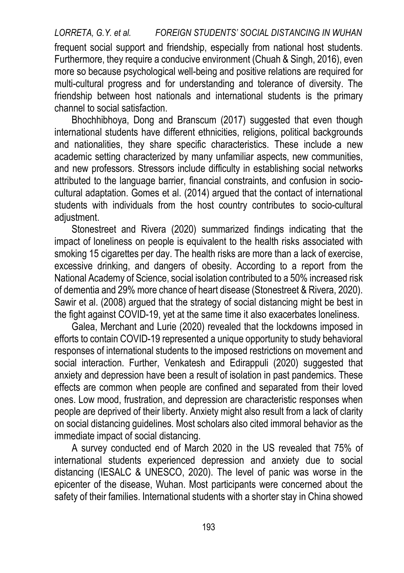*LORRETA, G.Y. et al. FOREIGN STUDENTS' SOCIAL DISTANCING IN WUHAN*  frequent social support and friendship, especially from national host students. Furthermore, they require a conducive environment (Chuah & Singh, 2016), even more so because psychological well-being and positive relations are required for multi-cultural progress and for understanding and tolerance of diversity. The friendship between host nationals and international students is the primary channel to social satisfaction.

Bhochhibhoya, Dong and Branscum (2017) suggested that even though international students have different ethnicities, religions, political backgrounds and nationalities, they share specific characteristics. These include a new academic setting characterized by many unfamiliar aspects, new communities, and new professors. Stressors include difficulty in establishing social networks attributed to the language barrier, financial constraints, and confusion in sociocultural adaptation. Gomes et al. (2014) argued that the contact of international students with individuals from the host country contributes to socio-cultural adjustment.

Stonestreet and Rivera (2020) summarized findings indicating that the impact of loneliness on people is equivalent to the health risks associated with smoking 15 cigarettes per day. The health risks are more than a lack of exercise, excessive drinking, and dangers of obesity. According to a report from the National Academy of Science, social isolation contributed to a 50% increased risk of dementia and 29% more chance of heart disease (Stonestreet & Rivera, 2020). Sawir et al. (2008) argued that the strategy of social distancing might be best in the fight against COVID-19, yet at the same time it also exacerbates loneliness.

Galea, Merchant and Lurie (2020) revealed that the lockdowns imposed in efforts to contain COVID-19 represented a unique opportunity to study behavioral responses of international students to the imposed restrictions on movement and social interaction. Further, Venkatesh and Edirappuli (2020) suggested that anxiety and depression have been a result of isolation in past pandemics. These effects are common when people are confined and separated from their loved ones. Low mood, frustration, and depression are characteristic responses when people are deprived of their liberty. Anxiety might also result from a lack of clarity on social distancing guidelines. Most scholars also cited immoral behavior as the immediate impact of social distancing.

A survey conducted end of March 2020 in the US revealed that 75% of international students experienced depression and anxiety due to social distancing (IESALC & UNESCO, 2020). The level of panic was worse in the epicenter of the disease, Wuhan. Most participants were concerned about the safety of their families. International students with a shorter stay in China showed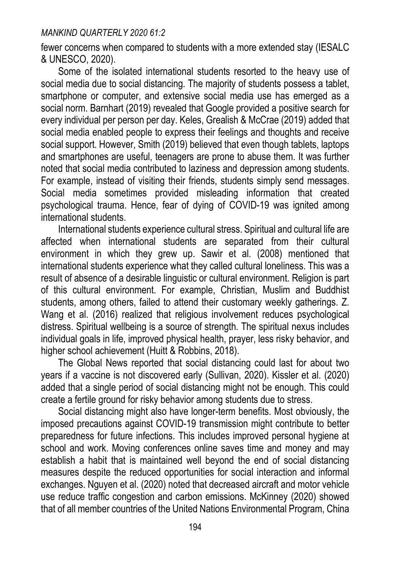fewer concerns when compared to students with a more extended stay (IESALC & UNESCO, 2020).

Some of the isolated international students resorted to the heavy use of social media due to social distancing. The majority of students possess a tablet, smartphone or computer, and extensive social media use has emerged as a social norm. Barnhart (2019) revealed that Google provided a positive search for every individual per person per day. Keles, Grealish & McCrae (2019) added that social media enabled people to express their feelings and thoughts and receive social support. However, Smith (2019) believed that even though tablets, laptops and smartphones are useful, teenagers are prone to abuse them. It was further noted that social media contributed to laziness and depression among students. For example, instead of visiting their friends, students simply send messages. Social media sometimes provided misleading information that created psychological trauma. Hence, fear of dying of COVID-19 was ignited among international students.

International students experience cultural stress. Spiritual and cultural life are affected when international students are separated from their cultural environment in which they grew up. Sawir et al. (2008) mentioned that international students experience what they called cultural loneliness. This was a result of absence of a desirable linguistic or cultural environment. Religion is part of this cultural environment. For example, Christian, Muslim and Buddhist students, among others, failed to attend their customary weekly gatherings. Z. Wang et al. (2016) realized that religious involvement reduces psychological distress. Spiritual wellbeing is a source of strength. The spiritual nexus includes individual goals in life, improved physical health, prayer, less risky behavior, and higher school achievement (Huitt & Robbins, 2018).

The Global News reported that social distancing could last for about two years if a vaccine is not discovered early (Sullivan, 2020). Kissler et al. (2020) added that a single period of social distancing might not be enough. This could create a fertile ground for risky behavior among students due to stress.

Social distancing might also have longer-term benefits. Most obviously, the imposed precautions against COVID-19 transmission might contribute to better preparedness for future infections. This includes improved personal hygiene at school and work. Moving conferences online saves time and money and may establish a habit that is maintained well beyond the end of social distancing measures despite the reduced opportunities for social interaction and informal exchanges. Nguyen et al. (2020) noted that decreased aircraft and motor vehicle use reduce traffic congestion and carbon emissions. McKinney (2020) showed that of all member countries of the United Nations Environmental Program, China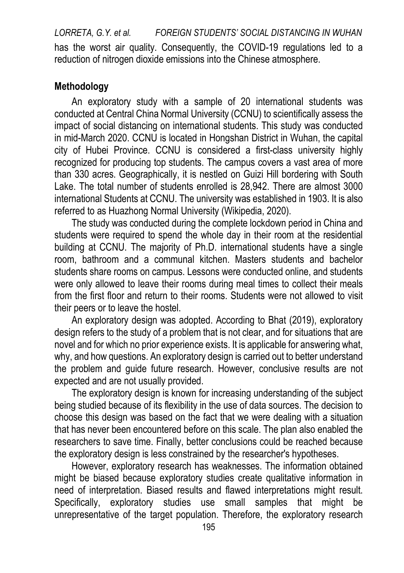*LORRETA, G.Y. et al. FOREIGN STUDENTS' SOCIAL DISTANCING IN WUHAN*  has the worst air quality. Consequently, the COVID-19 regulations led to a reduction of nitrogen dioxide emissions into the Chinese atmosphere.

# **Methodology**

An exploratory study with a sample of 20 international students was conducted at Central China Normal University (CCNU) to scientifically assess the impact of social distancing on international students. This study was conducted in mid-March 2020. CCNU is located in Hongshan District in Wuhan, the capital city of Hubei Province. CCNU is considered a first-class university highly recognized for producing top students. The campus covers a vast area of more than 330 acres. Geographically, it is nestled on Guizi Hill bordering with South Lake. The total number of students enrolled is 28,942. There are almost 3000 international Students at CCNU. The university was established in 1903. It is also referred to as Huazhong Normal University (Wikipedia, 2020).

The study was conducted during the complete lockdown period in China and students were required to spend the whole day in their room at the residential building at CCNU. The majority of Ph.D. international students have a single room, bathroom and a communal kitchen. Masters students and bachelor students share rooms on campus. Lessons were conducted online, and students were only allowed to leave their rooms during meal times to collect their meals from the first floor and return to their rooms. Students were not allowed to visit their peers or to leave the hostel.

An exploratory design was adopted. According to Bhat (2019), exploratory design refers to the study of a problem that is not clear, and for situations that are novel and for which no prior experience exists. It is applicable for answering what, why, and how questions. An exploratory design is carried out to better understand the problem and guide future research. However, conclusive results are not expected and are not usually provided.

The exploratory design is known for increasing understanding of the subject being studied because of its flexibility in the use of data sources. The decision to choose this design was based on the fact that we were dealing with a situation that has never been encountered before on this scale. The plan also enabled the researchers to save time. Finally, better conclusions could be reached because the exploratory design is less constrained by the researcher's hypotheses.

However, exploratory research has weaknesses. The information obtained might be biased because exploratory studies create qualitative information in need of interpretation. Biased results and flawed interpretations might result. Specifically, exploratory studies use small samples that might be unrepresentative of the target population. Therefore, the exploratory research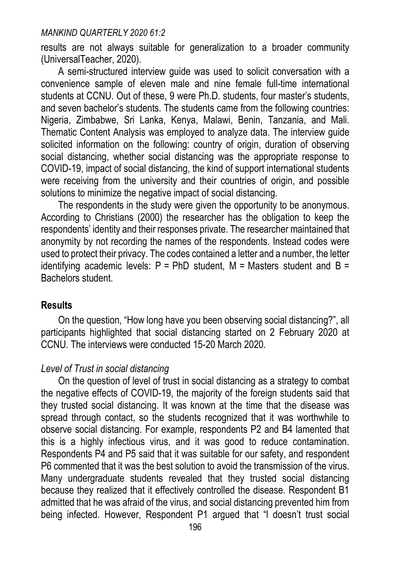results are not always suitable for generalization to a broader community (UniversalTeacher, 2020).

A semi-structured interview guide was used to solicit conversation with a convenience sample of eleven male and nine female full-time international students at CCNU. Out of these, 9 were Ph.D. students, four master's students, and seven bachelor's students. The students came from the following countries: Nigeria, Zimbabwe, Sri Lanka, Kenya, Malawi, Benin, Tanzania, and Mali. Thematic Content Analysis was employed to analyze data. The interview guide solicited information on the following: country of origin, duration of observing social distancing, whether social distancing was the appropriate response to COVID-19, impact of social distancing, the kind of support international students were receiving from the university and their countries of origin, and possible solutions to minimize the negative impact of social distancing.

The respondents in the study were given the opportunity to be anonymous. According to Christians (2000) the researcher has the obligation to keep the respondents' identity and their responses private. The researcher maintained that anonymity by not recording the names of the respondents. Instead codes were used to protect their privacy. The codes contained a letter and a number, the letter identifying academic levels:  $P = PhD$  student,  $M = Masters$  student and  $B =$ Bachelors student.

# **Results**

On the question, "How long have you been observing social distancing?", all participants highlighted that social distancing started on 2 February 2020 at CCNU. The interviews were conducted 15-20 March 2020.

# *Level of Trust in social distancing*

On the question of level of trust in social distancing as a strategy to combat the negative effects of COVID-19, the majority of the foreign students said that they trusted social distancing. It was known at the time that the disease was spread through contact, so the students recognized that it was worthwhile to observe social distancing. For example, respondents P2 and B4 lamented that this is a highly infectious virus, and it was good to reduce contamination. Respondents P4 and P5 said that it was suitable for our safety, and respondent P6 commented that it was the best solution to avoid the transmission of the virus. Many undergraduate students revealed that they trusted social distancing because they realized that it effectively controlled the disease. Respondent B1 admitted that he was afraid of the virus, and social distancing prevented him from being infected. However, Respondent P1 arqued that "I doesn't trust social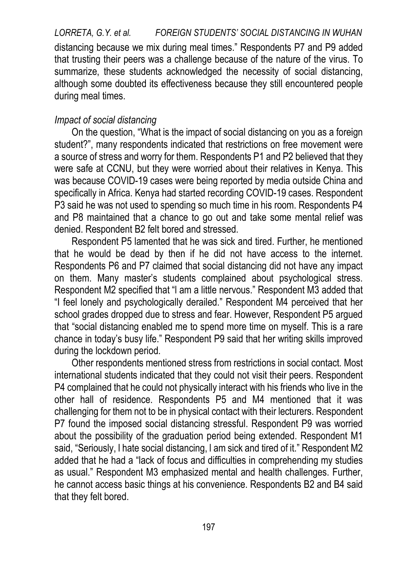*LORRETA, G.Y. et al. FOREIGN STUDENTS' SOCIAL DISTANCING IN WUHAN*  distancing because we mix during meal times." Respondents P7 and P9 added that trusting their peers was a challenge because of the nature of the virus. To summarize, these students acknowledged the necessity of social distancing, although some doubted its effectiveness because they still encountered people during meal times.

#### *Impact of social distancing*

On the question, "What is the impact of social distancing on you as a foreign student?", many respondents indicated that restrictions on free movement were a source of stress and worry for them. Respondents P1 and P2 believed that they were safe at CCNU, but they were worried about their relatives in Kenya. This was because COVID-19 cases were being reported by media outside China and specifically in Africa. Kenya had started recording COVID-19 cases. Respondent P3 said he was not used to spending so much time in his room. Respondents P4 and P8 maintained that a chance to go out and take some mental relief was denied. Respondent B2 felt bored and stressed.

Respondent P5 lamented that he was sick and tired. Further, he mentioned that he would be dead by then if he did not have access to the internet. Respondents P6 and P7 claimed that social distancing did not have any impact on them. Many master's students complained about psychological stress. Respondent M2 specified that "l am a little nervous." Respondent M3 added that "I feel lonely and psychologically derailed." Respondent M4 perceived that her school grades dropped due to stress and fear. However, Respondent P5 argued that "social distancing enabled me to spend more time on myself. This is a rare chance in today's busy life." Respondent P9 said that her writing skills improved during the lockdown period.

Other respondents mentioned stress from restrictions in social contact. Most international students indicated that they could not visit their peers. Respondent P4 complained that he could not physically interact with his friends who live in the other hall of residence. Respondents P5 and M4 mentioned that it was challenging for them not to be in physical contact with their lecturers. Respondent P7 found the imposed social distancing stressful. Respondent P9 was worried about the possibility of the graduation period being extended. Respondent M1 said, "Seriously, l hate social distancing, l am sick and tired of it." Respondent M2 added that he had a "lack of focus and difficulties in comprehending my studies as usual." Respondent M3 emphasized mental and health challenges. Further, he cannot access basic things at his convenience. Respondents B2 and B4 said that they felt bored.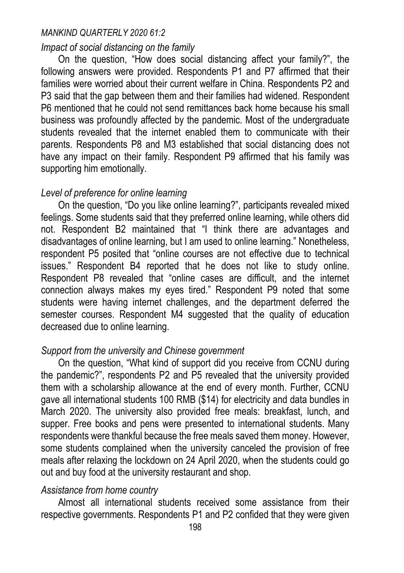### *Impact of social distancing on the family*

On the question, "How does social distancing affect your family?", the following answers were provided. Respondents P1 and P7 affirmed that their families were worried about their current welfare in China. Respondents P2 and P3 said that the gap between them and their families had widened. Respondent P6 mentioned that he could not send remittances back home because his small business was profoundly affected by the pandemic. Most of the undergraduate students revealed that the internet enabled them to communicate with their parents. Respondents P8 and M3 established that social distancing does not have any impact on their family. Respondent P9 affirmed that his family was supporting him emotionally.

# *Level of preference for online learning*

On the question, "Do you like online learning?", participants revealed mixed feelings. Some students said that they preferred online learning, while others did not. Respondent B2 maintained that "I think there are advantages and disadvantages of online learning, but I am used to online learning." Nonetheless, respondent P5 posited that "online courses are not effective due to technical issues." Respondent B4 reported that he does not like to study online. Respondent P8 revealed that "online cases are difficult, and the internet connection always makes my eyes tired." Respondent P9 noted that some students were having internet challenges, and the department deferred the semester courses. Respondent M4 suggested that the quality of education decreased due to online learning.

# *Support from the university and Chinese government*

On the question, "What kind of support did you receive from CCNU during the pandemic?", respondents P2 and P5 revealed that the university provided them with a scholarship allowance at the end of every month. Further, CCNU gave all international students 100 RMB (\$14) for electricity and data bundles in March 2020. The university also provided free meals: breakfast, lunch, and supper. Free books and pens were presented to international students. Many respondents were thankful because the free meals saved them money. However, some students complained when the university canceled the provision of free meals after relaxing the lockdown on 24 April 2020, when the students could go out and buy food at the university restaurant and shop.

# *Assistance from home country*

Almost all international students received some assistance from their respective governments. Respondents P1 and P2 confided that they were given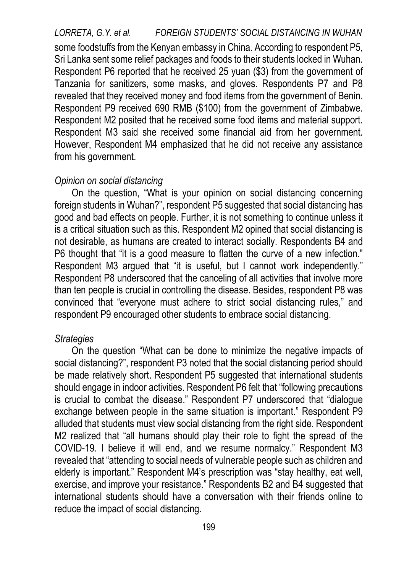*LORRETA, G.Y. et al. FOREIGN STUDENTS' SOCIAL DISTANCING IN WUHAN*  some foodstuffs from the Kenyan embassy in China. According to respondent P5, Sri Lanka sent some relief packages and foods to their students locked in Wuhan. Respondent P6 reported that he received 25 yuan (\$3) from the government of Tanzania for sanitizers, some masks, and gloves. Respondents P7 and P8 revealed that they received money and food items from the government of Benin. Respondent P9 received 690 RMB (\$100) from the government of Zimbabwe. Respondent M2 posited that he received some food items and material support. Respondent M3 said she received some financial aid from her government. However, Respondent M4 emphasized that he did not receive any assistance from his government.

## *Opinion on social distancing*

On the question, "What is your opinion on social distancing concerning foreign students in Wuhan?", respondent P5 suggested that social distancing has good and bad effects on people. Further, it is not something to continue unless it is a critical situation such as this. Respondent M2 opined that social distancing is not desirable, as humans are created to interact socially. Respondents B4 and P6 thought that "it is a good measure to flatten the curve of a new infection." Respondent M3 argued that "it is useful, but I cannot work independently." Respondent P8 underscored that the canceling of all activities that involve more than ten people is crucial in controlling the disease. Besides, respondent P8 was convinced that "everyone must adhere to strict social distancing rules," and respondent P9 encouraged other students to embrace social distancing.

## *Strategies*

On the question "What can be done to minimize the negative impacts of social distancing?", respondent P3 noted that the social distancing period should be made relatively short. Respondent P5 suggested that international students should engage in indoor activities. Respondent P6 felt that "following precautions is crucial to combat the disease." Respondent P7 underscored that "dialogue exchange between people in the same situation is important." Respondent P9 alluded that students must view social distancing from the right side. Respondent M2 realized that "all humans should play their role to fight the spread of the COVID-19. I believe it will end, and we resume normalcy." Respondent M3 revealed that "attending to social needs of vulnerable people such as children and elderly is important." Respondent M4's prescription was "stay healthy, eat well, exercise, and improve your resistance." Respondents B2 and B4 suggested that international students should have a conversation with their friends online to reduce the impact of social distancing.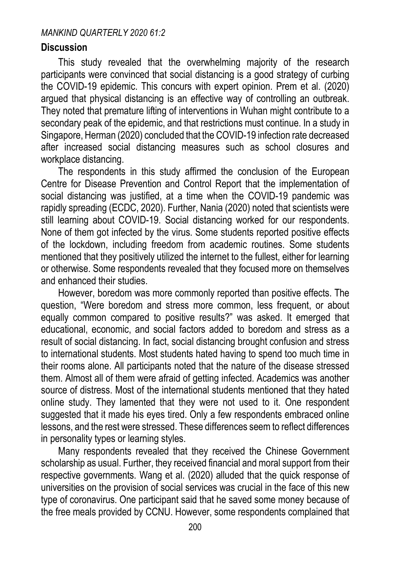# **Discussion**

This study revealed that the overwhelming majority of the research participants were convinced that social distancing is a good strategy of curbing the COVID-19 epidemic. This concurs with expert opinion. Prem et al. (2020) argued that physical distancing is an effective way of controlling an outbreak. They noted that premature lifting of interventions in Wuhan might contribute to a secondary peak of the epidemic, and that restrictions must continue. In a study in Singapore, Herman (2020) concluded that the COVID-19 infection rate decreased after increased social distancing measures such as school closures and workplace distancing.

The respondents in this study affirmed the conclusion of the European Centre for Disease Prevention and Control Report that the implementation of social distancing was justified, at a time when the COVID-19 pandemic was rapidly spreading (ECDC, 2020). Further, Nania (2020) noted that scientists were still learning about COVID-19. Social distancing worked for our respondents. None of them got infected by the virus. Some students reported positive effects of the lockdown, including freedom from academic routines. Some students mentioned that they positively utilized the internet to the fullest, either for learning or otherwise. Some respondents revealed that they focused more on themselves and enhanced their studies.

However, boredom was more commonly reported than positive effects. The question, "Were boredom and stress more common, less frequent, or about equally common compared to positive results?" was asked. It emerged that educational, economic, and social factors added to boredom and stress as a result of social distancing. In fact, social distancing brought confusion and stress to international students. Most students hated having to spend too much time in their rooms alone. All participants noted that the nature of the disease stressed them. Almost all of them were afraid of getting infected. Academics was another source of distress. Most of the international students mentioned that they hated online study. They lamented that they were not used to it. One respondent suggested that it made his eyes tired. Only a few respondents embraced online lessons, and the rest were stressed. These differences seem to reflect differences in personality types or learning styles.

Many respondents revealed that they received the Chinese Government scholarship as usual. Further, they received financial and moral support from their respective governments. Wang et al. (2020) alluded that the quick response of universities on the provision of social services was crucial in the face of this new type of coronavirus. One participant said that he saved some money because of the free meals provided by CCNU. However, some respondents complained that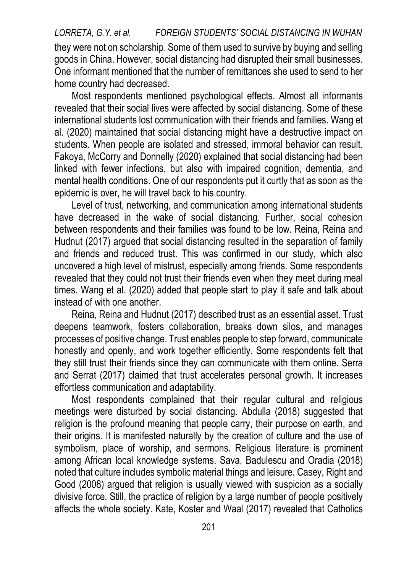# *LORRETA, G.Y. et al. FOREIGN STUDENTS' SOCIAL DISTANCING IN WUHAN*  they were not on scholarship. Some of them used to survive by buying and selling goods in China. However, social distancing had disrupted their small businesses. One informant mentioned that the number of remittances she used to send to her home country had decreased.

Most respondents mentioned psychological effects. Almost all informants revealed that their social lives were affected by social distancing. Some of these international students lost communication with their friends and families. Wang et al. (2020) maintained that social distancing might have a destructive impact on students. When people are isolated and stressed, immoral behavior can result. Fakoya, McCorry and Donnelly (2020) explained that social distancing had been linked with fewer infections, but also with impaired cognition, dementia, and mental health conditions. One of our respondents put it curtly that as soon as the epidemic is over, he will travel back to his country.

Level of trust, networking, and communication among international students have decreased in the wake of social distancing. Further, social cohesion between respondents and their families was found to be low. Reina, Reina and Hudnut (2017) argued that social distancing resulted in the separation of family and friends and reduced trust. This was confirmed in our study, which also uncovered a high level of mistrust, especially among friends. Some respondents revealed that they could not trust their friends even when they meet during meal times. Wang et al. (2020) added that people start to play it safe and talk about instead of with one another.

Reina, Reina and Hudnut (2017) described trust as an essential asset. Trust deepens teamwork, fosters collaboration, breaks down silos, and manages processes of positive change. Trust enables people to step forward, communicate honestly and openly, and work together efficiently. Some respondents felt that they still trust their friends since they can communicate with them online. Serra and Serrat (2017) claimed that trust accelerates personal growth. It increases effortless communication and adaptability.

Most respondents complained that their regular cultural and religious meetings were disturbed by social distancing. Abdulla (2018) suggested that religion is the profound meaning that people carry, their purpose on earth, and their origins. It is manifested naturally by the creation of culture and the use of symbolism, place of worship, and sermons. Religious literature is prominent among African local knowledge systems. Sava, Badulescu and Oradia (2018) noted that culture includes symbolic material things and leisure. Casey, Right and Good (2008) argued that religion is usually viewed with suspicion as a socially divisive force. Still, the practice of religion by a large number of people positively affects the whole society. Kate, Koster and Waal (2017) revealed that Catholics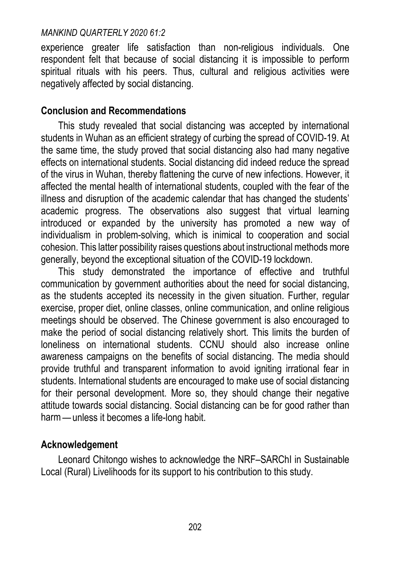experience greater life satisfaction than non-religious individuals. One respondent felt that because of social distancing it is impossible to perform spiritual rituals with his peers. Thus, cultural and religious activities were negatively affected by social distancing.

# **Conclusion and Recommendations**

This study revealed that social distancing was accepted by international students in Wuhan as an efficient strategy of curbing the spread of COVID-19. At the same time, the study proved that social distancing also had many negative effects on international students. Social distancing did indeed reduce the spread of the virus in Wuhan, thereby flattening the curve of new infections. However, it affected the mental health of international students, coupled with the fear of the illness and disruption of the academic calendar that has changed the students' academic progress. The observations also suggest that virtual learning introduced or expanded by the university has promoted a new way of individualism in problem-solving, which is inimical to cooperation and social cohesion. This latter possibility raises questions about instructional methods more generally, beyond the exceptional situation of the COVID-19 lockdown.

This study demonstrated the importance of effective and truthful communication by government authorities about the need for social distancing, as the students accepted its necessity in the given situation. Further, regular exercise, proper diet, online classes, online communication, and online religious meetings should be observed. The Chinese government is also encouraged to make the period of social distancing relatively short. This limits the burden of loneliness on international students. CCNU should also increase online awareness campaigns on the benefits of social distancing. The media should provide truthful and transparent information to avoid igniting irrational fear in students. International students are encouraged to make use of social distancing for their personal development. More so, they should change their negative attitude towards social distancing. Social distancing can be for good rather than harm — unless it becomes a life-long habit.

# **Acknowledgement**

Leonard Chitongo wishes to acknowledge the NRF–SARChI in Sustainable Local (Rural) Livelihoods for its support to his contribution to this study.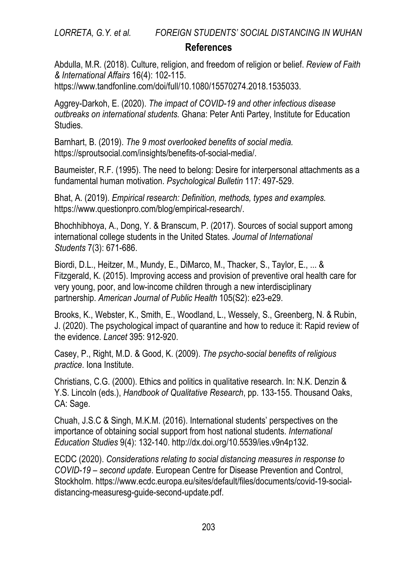# **References**

Abdulla, M.R. (2018). Culture, religion, and freedom of religion or belief. *Review of Faith & International Affairs* 16(4): 102-115.

[https://www.tandfonline.com/doi/full/10.1080/15570274.2018.1535033.](https://www.tandfonline.com/doi/full/10.1080/15570274.2018.1535033)

Aggrey-Darkoh, E. (2020). *The impact of COVID-19 and other infectious disease outbreaks on international students.* Ghana: Peter Anti Partey, Institute for Education Studies.

Barnhart, B. (2019). *The 9 most overlooked benefits of social media.* [https://sproutsocial.com/insights/benefits-of-social-media/.](https://sproutsocial.com/insights/benefits-of-social-media/)

Baumeister, R.F. (1995). The need to belong: Desire for interpersonal attachments as a fundamental human motivation. *Psychological Bulletin* 117: 497-529.

Bhat, A. (2019). *Empirical research: Definition, methods, types and examples.* [https://www.questionpro.com/blog/empirical-research/.](https://www.questionpro.com/blog/empirical-research/)

Bhochhibhoya, A., Dong, Y. & Branscum, P. (2017). Sources of social support among international college students in the United States. *Journal of International Students* 7(3): 671-686.

Biordi, D.L., Heitzer, M., Mundy, E., DiMarco, M., Thacker, S., Taylor, E., ... & Fitzgerald, K. (2015). Improving access and provision of preventive oral health care for very young, poor, and low-income children through a new interdisciplinary partnership. *American Journal of Public Health* 105(S2): e23-e29.

Brooks, K., Webster, K., Smith, E., Woodland, L., Wessely, S., Greenberg, N. & Rubin, J. (2020). The psychological impact of quarantine and how to reduce it: Rapid review of the evidence. *Lancet* 395: 912-920.

Casey, P., Right, M.D. & Good, K. (2009). *The psycho-social benefits of religious practice*. Iona Institute.

Christians, C.G. (2000). Ethics and politics in qualitative research. In: N.K. Denzin & Y.S. Lincoln (eds.), *Handbook of Qualitative Research*, pp. 133-155. Thousand Oaks, CA: Sage.

Chuah, J.S.C & Singh, M.K.M. (2016). International students' perspectives on the importance of obtaining social support from host national students. *International Education Studies* 9(4): 132-140. [http://dx.doi.org/10.5539/ies.v9n4p132.](http://dx.doi.org/10.5539/ies.v9n4p132)

ECDC (2020). *Considerations relating to social distancing measures in response to COVID-19 – second update*. European Centre for Disease Prevention and Control, Stockholm[. https://www.ecdc.europa.eu/sites/default/files/documents/covid-19-social](https://www.ecdc.europa.eu/sites/default/files/documents/covid-19-social-distancing-measuresg-guide-second-update.pdf)[distancing-measuresg-guide-second-update.pdf.](https://www.ecdc.europa.eu/sites/default/files/documents/covid-19-social-distancing-measuresg-guide-second-update.pdf)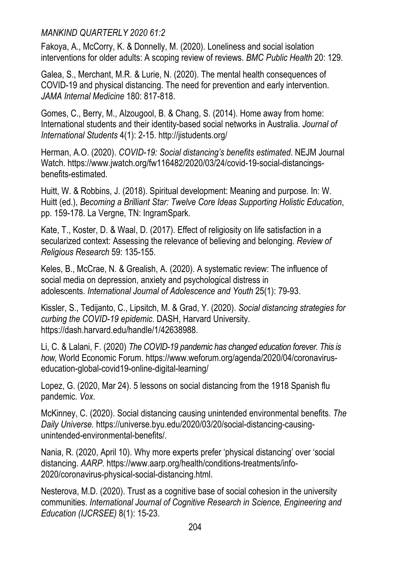Fakoya, A., McCorry, K. & Donnelly, M. (2020). Loneliness and social isolation interventions for older adults: A scoping review of reviews. *BMC Public Health* 20: 129.

Galea, S., Merchant, M.R. & Lurie, N. (2020). The mental health consequences of COVID-19 and physical distancing. The need for prevention and early intervention. *JAMA Internal Medicine* 180: 817-818.

Gomes, C., Berry, M., Alzougool, B. & Chang, S. (2014). Home away from home: International students and their identity-based social networks in Australia. *Journal of International Students* 4(1): 2-15. http://jistudents.org/

Herman, A.O. (2020). *COVID-19: Social distancing's benefits estimated*. NEJM Journal Watch[. https://www.jwatch.org/fw116482/2020/03/24/covid-19-social-distancings](https://www.jwatch.org/fw116482/2020/03/24/covid-19-social-distancings-benefits-estimated)[benefits-estimated.](https://www.jwatch.org/fw116482/2020/03/24/covid-19-social-distancings-benefits-estimated)

Huitt, W. & Robbins, J. (2018). Spiritual development: Meaning and purpose. In: W. Huitt (ed.), *Becoming a Brilliant Star: Twelve Core Ideas Supporting Holistic Education*, pp. 159-178. La Vergne, TN: IngramSpark.

Kate, T., Koster, D. & Waal, D. (2017). Effect of religiosity on life satisfaction in a secularized context: Assessing the relevance of believing and belonging. *Review of Religious Research* 59: 135-155.

Keles, B., McCrae, N. & Grealish, A. (2020). A systematic review: The influence of social media on depression, anxiety and psychological distress in adolescents. *International Journal of Adolescence and Youth* 25(1): 79-93.

Kissler, S., Tedijanto, C., Lipsitch, M. & Grad, Y. (2020). *Social distancing strategies for curbing the COVID-19 epidemic*. DASH, Harvard University. https://dash.harvard.edu/handle/1/42638988.

Li, C. & Lalani, F. (2020) *The COVID-19 pandemic has changed education forever. This is how,* World Economic Forum. https://www.weforum.org/agenda/2020/04/coronaviruseducation-global-covid19-online-digital-learning/

Lopez, G. (2020, Mar 24). 5 lessons on social distancing from the 1918 Spanish flu pandemic. *Vox*.

McKinney, C. (2020). Social distancing causing unintended environmental benefits. *The Daily Universe.* [https://universe.byu.edu/2020/03/20/social-distancing-causing](https://universe.byu.edu/2020/03/20/social-distancing-causing-unintended-environmental-benefits/)[unintended-environmental-benefits/.](https://universe.byu.edu/2020/03/20/social-distancing-causing-unintended-environmental-benefits/)

Nania, R. (2020, April 10). Why more experts prefer 'physical distancing' over 'social distancing. *AARP*. [https://www.aarp.org/health/conditions-treatments/info-](https://www.aarp.org/health/conditions-treatments/info-2020/coronavirus-physical-social-distancing.html)[2020/coronavirus-physical-social-distancing.html.](https://www.aarp.org/health/conditions-treatments/info-2020/coronavirus-physical-social-distancing.html)

Nesterova, M.D. (2020). Trust as a cognitive base of social cohesion in the university communities. *International Journal of Cognitive Research in Science, Engineering and Education (IJCRSEE)* 8(1): 15-23.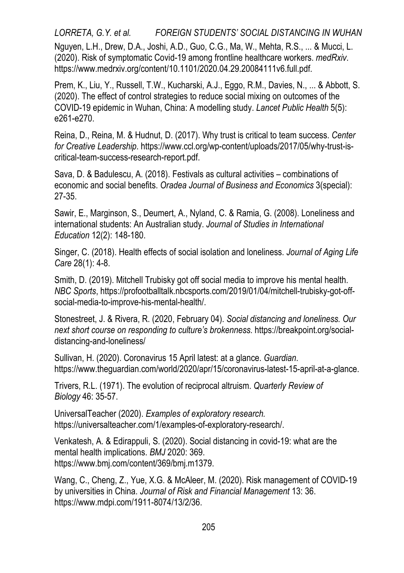*LORRETA, G.Y. et al. FOREIGN STUDENTS' SOCIAL DISTANCING IN WUHAN*  Nguyen, L.H., Drew, D.A., Joshi, A.D., Guo, C.G., Ma, W., Mehta, R.S., ... & Mucci, L. (2020). Risk of symptomatic Covid-19 among frontline healthcare workers. *medRxiv*. [https://www.medrxiv.org/content/10.1101/2020.04.29.20084111v6.full.pdf.](https://www.medrxiv.org/content/10.1101/2020.04.29.20084111v6.full.pdf)

Prem, K., Liu, Y., Russell, T.W., Kucharski, A.J., Eggo, R.M., Davies, N., ... & Abbott, S. (2020). The effect of control strategies to reduce social mixing on outcomes of the COVID-19 epidemic in Wuhan, China: A modelling study. *Lancet Public Health* 5(5): e261-e270.

Reina, D., Reina, M. & Hudnut, D. (2017). Why trust is critical to team success. *Center for Creative Leadership*[. https://www.ccl.org/wp-content/uploads/2017/05/why-trust-is](https://www.ccl.org/wp-content/uploads/2017/05/why-trust-is-critical-team-success-research-report.pdf)[critical-team-success-research-report.pdf.](https://www.ccl.org/wp-content/uploads/2017/05/why-trust-is-critical-team-success-research-report.pdf)

Sava, D. & Badulescu, A. (2018). Festivals as cultural activities – combinations of economic and social benefits. *Oradea Journal of Business and Economics* 3(special): 27-35.

Sawir, E., Marginson, S., Deumert, A., Nyland, C. & Ramia, G. (2008). Loneliness and international students: An Australian study. *Journal of Studies in International Education* 12(2): 148-180.

Singer, C. (2018). Health effects of social isolation and loneliness. *Journal of Aging Life Care* 28(1): 4-8.

Smith, D. (2019). Mitchell Trubisky got off social media to improve his mental health. *NBC Sports*[, https://profootballtalk.nbcsports.com/2019/01/04/mitchell-trubisky-got-off](https://profootballtalk.nbcsports.com/2019/01/04/mitchell-trubisky-got-off-social-media-to-improve-his-mental-health/)[social-media-to-improve-his-mental-health/.](https://profootballtalk.nbcsports.com/2019/01/04/mitchell-trubisky-got-off-social-media-to-improve-his-mental-health/)

Stonestreet, J. & Rivera, R. (2020, February 04). *Social distancing and loneliness. Our next short course on responding to culture's brokenness*. https://breakpoint.org/socialdistancing-and-loneliness/

Sullivan, H. (2020). Coronavirus 15 April latest: at a glance. *Guardian*. [https://www.theguardian.com/world/2020/apr/15/coronavirus-latest-15-april-at-a-glance.](https://www.theguardian.com/world/2020/apr/15/coronavirus-latest-15-april-at-a-glance)

Trivers, R.L. (1971). The evolution of reciprocal altruism. *Quarterly Review of Biology* 46: 35-57.

UniversalTeacher (2020). *Examples of exploratory research.* https://universalteacher.com/1/examples-of-exploratory-research/.

Venkatesh, A. & Edirappuli, S. (2020). Social distancing in covid-19: what are the mental health implications. *BMJ* 2020: 369. https://www.bmj.com/content/369/bmj.m1379.

Wang, C., Cheng, Z., Yue, X.G. & McAleer, M. (2020). Risk management of COVID-19 by universities in China. *Journal of Risk and Financial Management* 13: 36. https://www.mdpi.com/1911-8074/13/2/36.